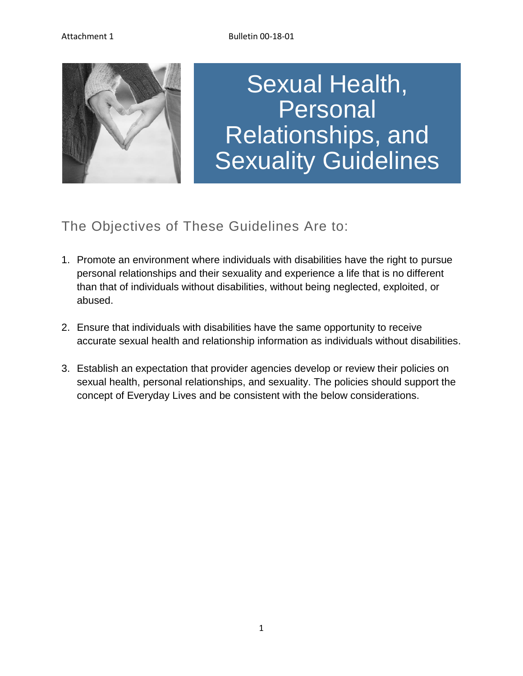

## Sexual Health, Personal Relationships, and Sexuality Guidelines

## The Objectives of These Guidelines Are to:

- 1. Promote an environment where individuals with disabilities have the right to pursue personal relationships and their sexuality and experience a life that is no different than that of individuals without disabilities, without being neglected, exploited, or abused.
- 2. Ensure that individuals with disabilities have the same opportunity to receive accurate sexual health and relationship information as individuals without disabilities.
- 3. Establish an expectation that provider agencies develop or review their policies on sexual health, personal relationships, and sexuality. The policies should support the concept of Everyday Lives and be consistent with the below considerations.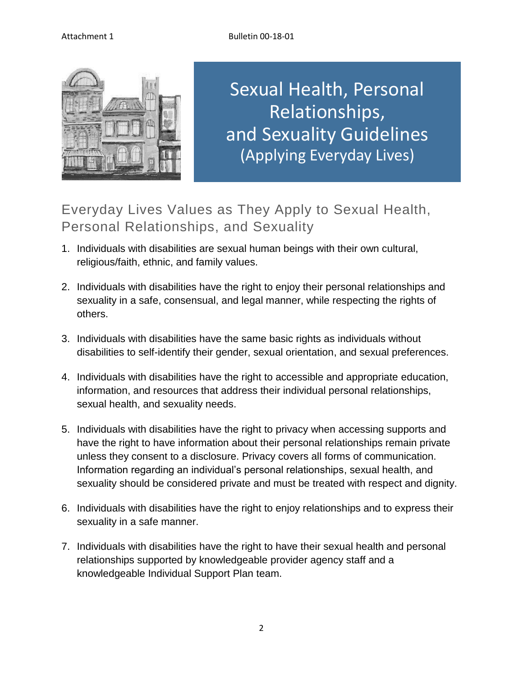

Sexual Health, Personal Relationships, and Sexuality Guidelines (Applying Everyday Lives)

Everyday Lives Values as They Apply to Sexual Health, Personal Relationships, and Sexuality

- 1. Individuals with disabilities are sexual human beings with their own cultural, religious/faith, ethnic, and family values.
- 2. Individuals with disabilities have the right to enjoy their personal relationships and sexuality in a safe, consensual, and legal manner, while respecting the rights of others.
- 3. Individuals with disabilities have the same basic rights as individuals without disabilities to self-identify their gender, sexual orientation, and sexual preferences.
- 4. Individuals with disabilities have the right to accessible and appropriate education, information, and resources that address their individual personal relationships, sexual health, and sexuality needs.
- 5. Individuals with disabilities have the right to privacy when accessing supports and have the right to have information about their personal relationships remain private unless they consent to a disclosure. Privacy covers all forms of communication. Information regarding an individual's personal relationships, sexual health, and sexuality should be considered private and must be treated with respect and dignity.
- 6. Individuals with disabilities have the right to enjoy relationships and to express their sexuality in a safe manner.
- 7. Individuals with disabilities have the right to have their sexual health and personal relationships supported by knowledgeable provider agency staff and a knowledgeable Individual Support Plan team.